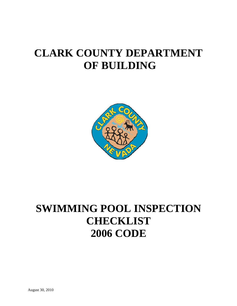# **CLARK COUNTY DEPARTMENT OF BUILDING**



# **SWIMMING POOL INSPECTION CHECKLIST 2006 CODE**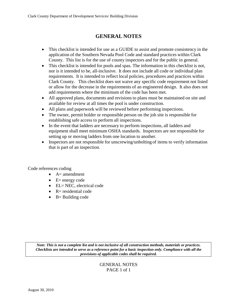# **GENERAL NOTES**

- This checklist is intended for use as a GUIDE to assist and promote consistency in the application of the Southern Nevada Pool Code and standard practices within Clark County. This list is for the use of county inspectors and for the public in general.
- This checklist is intended for pools and spas. The information in this checklist is not, nor is it intended to be, all-inclusive. It does not include all code or individual plan requirements. It is intended to reflect local policies, procedures and practices within Clark County. This checklist does not waive any specific code requirement not listed or allow for the decrease in the requirements of an engineered design. It also does not add requirements where the minimum of the code has been met.
- All approved plans, documents and revisions to plans must be maintained on site and available for review at all times the pool is under construction.
- All plans and paperwork will be reviewed before performing inspections.
- The owner, permit holder or responsible person on the job site is responsible for establishing safe access to perform all inspections.
- In the event that ladders are necessary to perform inspections, all ladders and equipment shall meet minimum OSHA standards. Inspectors are not responsible for setting up or moving ladders from one location to another.
- Inspectors are not responsible for unscrewing/unbolting of items to verify information that is part of an inspection.

Code references coding

- $\bullet$  A= amendment
- $\bullet$  E= energy code
- EL= NEC, electrical code
- $\bullet$  R= residential code
- $\bullet$  B= Building code

*Note: This is not a complete list and is not inclusive of all construction methods, materials or practices. Checklists are intended to serve as a reference point for a basic inspection only. Compliance with all the provisions of applicable codes shall be required.*

## GENERAL NOTES PAGE 1 of 1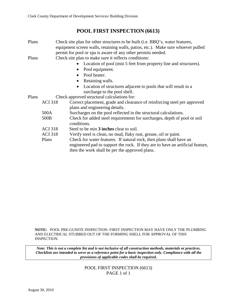## **POOL FIRST INSPECTION (6613)**

| Plans |                | Check site plan for other structures to be built (i.e. BBQ's, water features,    |  |
|-------|----------------|----------------------------------------------------------------------------------|--|
|       |                | equipment screen walls, retaining walls, patios, etc.). Make sure whoever pulled |  |
|       |                | permit for pool or spa is aware of any other permits needed.                     |  |
| Plans |                | Check site plan to make sure it reflects conditions:                             |  |
|       |                | Location of pool (min 5 feet from property line and structures).                 |  |
|       |                | Pool equipment.<br>$\bullet$                                                     |  |
|       |                | Pool heater.                                                                     |  |
|       |                | Retaining walls.<br>$\bullet$                                                    |  |
|       |                | Location of structures adjacent to pools that will result in a<br>$\bullet$      |  |
|       |                | surcharge to the pool shell.                                                     |  |
| Plans |                | Check approved structural calculations for:                                      |  |
|       | <b>ACI 318</b> | Correct placement, grade and clearance of reinforcing steel per approved         |  |
|       |                | plans and engineering details.                                                   |  |
|       | 500A           | Surcharges on the pool reflected in the structural calculations.                 |  |
|       | 500B           | Check for added steel requirements for surcharges, depth of pool or soil         |  |
|       |                | conditions.                                                                      |  |
|       | <b>ACI</b> 318 | Steel to be min 3 inches clear to soil.                                          |  |
|       | <b>ACI 318</b> | Verify steel is clean, no mud, flaky rust, grease, oil or paint.                 |  |
|       | Plans          | Check for water features. If natural rock, then plans shall have an              |  |
|       |                | engineered pad to support the rock. If they are to have an artificial feature,   |  |
|       |                | then the work shall be per the approved plans.                                   |  |
|       |                |                                                                                  |  |

**NOTE:** POOL PRE-GUNITE INSPECTION- FIRST INSPECTION MAY HAVE ONLY THE PLUMBING AND ELECTRICAL STUBBED OUT OF THE FORMING SHELL FOR APPROVAL OF THIS INSPECTION.

*Note: This is not a complete list and is not inclusive of all construction methods, materials or practices. Checklists are intended to serve as a reference point for a basic inspection only. Compliance with all the provisions of applicable codes shall be required.*

> POOL FIRST INSPECTION (6613) PAGE 1 of 1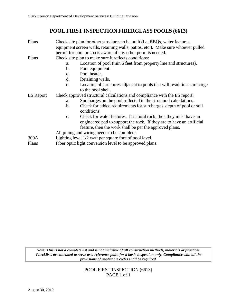## **POOL FIRST INSPECTION FIBERGLASS POOLS (6613)**

| Plans            | Check site plan for other structures to be built (i.e. BBQs, water features,<br>equipment screen walls, retaining walls, patios, etc.). Make sure whoever pulled |
|------------------|------------------------------------------------------------------------------------------------------------------------------------------------------------------|
|                  | permit for pool or spa is aware of any other permits needed.                                                                                                     |
| Plans            | Check site plan to make sure it reflects conditions:                                                                                                             |
|                  | Location of pool (min 5 feet from property line and structures).<br>a.                                                                                           |
|                  | Pool equipment.<br>b.                                                                                                                                            |
|                  | Pool heater.<br>c.                                                                                                                                               |
|                  | d.<br>Retaining walls.                                                                                                                                           |
|                  | Location of structures adjacent to pools that will result in a surcharge<br>e.                                                                                   |
|                  | to the pool shell.                                                                                                                                               |
| <b>ES</b> Report | Check approved structural calculations and compliance with the ES report:                                                                                        |
|                  | Surcharges on the pool reflected in the structural calculations.<br>a.                                                                                           |
|                  | Check for added requirements for surcharges, depth of pool or soil<br>b.                                                                                         |
|                  | conditions.                                                                                                                                                      |
|                  | Check for water features. If natural rock, then they must have an<br>$\mathcal{C}$ .                                                                             |
|                  | engineered pad to support the rock. If they are to have an artificial                                                                                            |
|                  | feature, then the work shall be per the approved plans.                                                                                                          |
|                  | All piping and wiring needs to be complete.                                                                                                                      |
| 300A             | Lighting level 1/2 watt per square foot of pool level.                                                                                                           |
| Plans            | Fiber optic light conversion level to be approved plans.                                                                                                         |

*Note: This is not a complete list and is not inclusive of all construction methods, materials or practices. Checklists are intended to serve as a reference point for a basic inspection only. Compliance with all the provisions of applicable codes shall be required.*

> POOL FIRST INSPECTION (6613) PAGE 1 of 1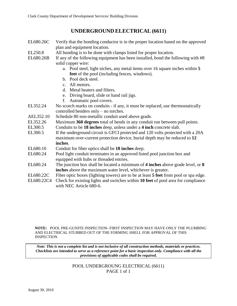## **UNDERGROUND ELECTRICAL (6611)**

- EL680.26C Verify that the bonding conductor is in the proper location based on the approved plan and equipment location.
- EL250.8 All bonding is to be done with clamps listed for proper location.
- EL680.26B If any of the following equipment has been installed, bond the following with #8 solid copper wire:
	- a. Pool steel, light niches, any metal items over 16 square inches within **5 feet** of the pool (including fences, windows).
	- b. Pool deck steel.
	- c. All motors.
	- d. Metal heaters and filters.
	- e. Diving board, slide or hand rail jigs.
	- f. Automatic pool covers.
- EL352.24 No scorch marks on conduits if any, it must be replaced, use thermostatically controlled benders only – no torches.
- AEL352.10 Schedule 80 non-metallic conduit used above grade.
- EL352.26 Maximum **360 degrees** total of bends in any conduit run between pull points.
- EL300.5 Conduits to be **18 inches** deep, unless under a **4 inch** concrete slab.
- EL300.5 If the underground circuit is GFCI protected and 120 volts protected with a 20A maximum over-current protection device, burial depth may be reduced to **12 inches**.
- EL680.10 Conduit for fiber optics shall be **18 inches** deep.
- EL680.24 Pool light conduit terminates in an approved listed pool junction box and equipped with hubs or threaded entries.
- EL680.24 The junction box shall be located a minimum of **4 inches** above grade level, or **8 inches** above the maximum water level, whichever is greater.
- EL680.22C Fiber optic boxes (lighting towers) are to be at least **5 feet** from pool or spa edge.
- EL680.22C4 Check for existing lights and switches within **10 feet** of pool area for compliance with NEC Article 680-6.

**NOTE:** POOL PRE-GUNITE INSPECTION- FIRST INSPECTION MAY HAVE ONLY THE PLUMBING AND ELECTRICAL STUBBED OUT OF THE FORMING SHELL FOR APPROVAL OF THIS INSPECTION

*Note: This is not a complete list and is not inclusive of all construction methods, materials or practices. Checklists are intended to serve as a reference point for a basic inspection only. Compliance with all the provisions of applicable codes shall be required.*

> POOL UNDERGROUNG ELECTRICAL (6611) PAGE 1 of 1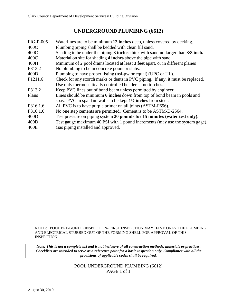## **UNDERGROUND PLUMBING (6612)**

| <b>FIG-P-005</b> | Waterlines are to be minimum 12 inches deep, unless covered by decking.          |
|------------------|----------------------------------------------------------------------------------|
| 400C             | Plumbing piping shall be bedded with clean fill sand.                            |
| 400C             | Shading to be under the piping 3 inches thick with sand no larger than 3/8 inch. |
| 400C             | Material on site for shading 4 inches above the pipe with sand.                  |
| 400H             | Minimum of 2 pool drains located at least 3 feet apart, or in different planes   |
| P313.2           | No plumbing to be in concrete pours or slabs.                                    |
| 400D             | Plumbing to have proper listing (nsf-pw or equal) (UPC or UL).                   |
| P1211.6          | Check for any scorch marks or dents in PVC piping. If any, it must be replaced.  |
|                  | Use only thermostatically controlled benders – no torches.                       |
| P313.2           | Keep PVC lines out of bond beam unless permitted by engineer.                    |
| Plans            | Lines should be minimum 6 inches down from top of bond beam in pools and         |
|                  | spas. PVC in spa dam walls to be kept 1 <sup>1</sup> /2 inches from steel.       |
| P316.1.6         | All PVC is to have purple primer on all joints (ASTM-F656).                      |
| P316.1.6         | No one step cements are permitted. Cement is to be ASTM-D-2564.                  |
| 400D             | Test pressure on piping system 20 pounds for 15 minutes (water test only).       |
| 400D             | Test gauge maximum 40 PSI with 1 pound increments (may use the system gage).     |
| 400E             | Gas piping installed and approved.                                               |

**NOTE:** POOL PRE-GUNITE INSPECTION- FIRST INSPECTION MAY HAVE ONLY THE PLUMBING AND ELECTRICAL STUBBED OUT OF THE FORMING SHELL FOR APPROVAL OF THIS INSPECTION

*Note: This is not a complete list and is not inclusive of all construction methods, materials or practices. Checklists are intended to serve as a reference point for a basic inspection only. Compliance with all the provisions of applicable codes shall be required.*

> POOL UNDERGROUND PLUMBING (6612) PAGE 1 of 1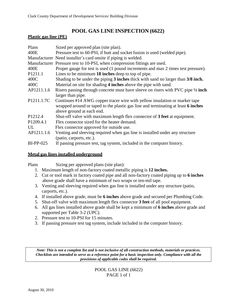## **POOL GAS LINE INSPECTION (6622)**

#### **Plastic gas line (PE)**

| Plans               | Sized per approved plan (site plan).                                              |
|---------------------|-----------------------------------------------------------------------------------|
| 400E                | Pressure test to 60-PSI, if butt and socket fusion is used (welded pipe).         |
|                     | Manufacturer Need installer's card onsite if piping is welded.                    |
|                     | Manufacturer Pressure test to 10-PSI, when compression fittings are used.         |
| 400E                | Proper gauge for test is used (1 pound increments and max 2 times test pressure). |
| P <sub>1211.1</sub> | Lines to be minimum 18 inches deep to top of pipe.                                |
| 400C                | Shading to be under the piping 3 inches thick with sand no larger than 3/8 inch.  |
| 400C                | Material on site for shading 4 inches above the pipe with sand.                   |
| AP1211.1.6          | Risers passing through concrete must have sleeve on risers with PVC pipe 1/2 inch |
|                     | larger than pipe.                                                                 |
| P1211.1.7C          | Continues #14 AWG copper tracer wire with yellow insulation or marker tape        |
|                     | wrapped around or taped to the plastic gas line and terminating at least 6 inches |
|                     | above ground at each end.                                                         |
| P <sub>1212.4</sub> | Shut-off valve with maximum length flex connector of 3 feet at equipment.         |
| P1209.4.1           | Flex connector sized for the heater demand.                                       |
| UL                  | Flex connector approved for outside use.                                          |
| AP1211.1.6          | Venting and sleeving required when gas line is installed under any structure      |
|                     | (patio, carports, etc.).                                                          |
| <b>BI-PP-025</b>    | If passing pressure test, tag system, included in the computer history.           |

#### **Metal gas lines installed underground**

Plans Sizing per approved plans (site plan):

- 1. Maximum length of non-factory coated metallic piping is **12 inches.**
- 2. Cut or tool mark in factory coated pipe and all non-factory coated piping up to **6 inches** above grade shall have a minimum of two wraps or ten-mil tape.
- 3. Venting and sleeving required when gas line is installed under any structure (patio, carports, etc.).
- 4. If installed above grade, must be **6 inches** above grade and secured per Plumbing Code.
- 5. Shut-off valve with maximum length flex connector **3 feet** of all pool equipment.
- 6. All gas lines installed above grade shall be kept a minimum of **6 inches** above grade and supported per Table 3-2 (UPC).
- 2. Pressure test to 10-PSI for 15 minutes.
- 3. If passing pressure test tag system, include included in the computer history.

*Note: This is not a complete list and is not inclusive of all construction methods, materials or practices. Checklists are intended to serve as a reference point for a basic inspection only. Compliance with all the provisions of applicable codes shall be required.*

> POOL GAS LINE (6622) PAGE 1 of 1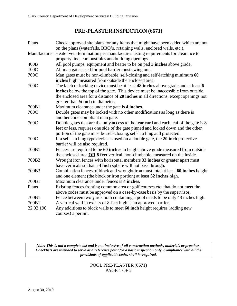## **PRE-PLASTER INSPECTION (6671)**

| Plans       | Check approved site plans for any items that might have been added which are not            |
|-------------|---------------------------------------------------------------------------------------------|
|             | on the plans (waterfalls, BBQ's, retaining walls, enclosed walls, etc.).                    |
|             | Manufacturer Heater vent termination per manufactures listing requirements for clearance to |
|             | property line, combustibles and building openings.                                          |
| 400B        | All pool pumps, equipment and heater to be on pad 3 inches above grade.                     |
| 700C        | All man gates used for pool barrier must swing out.                                         |
| 700C        | Man gates must be non-climbable, self-closing and self-latching minimum 60                  |
|             | inches high measured from outside the enclosed area.                                        |
| 700C        | The latch or locking device must be at least 48 inches above grade and at least 6           |
|             | inches below the top of the gate. This device must be inaccessible from outside             |
|             | the enclosed area for a distance of 20 inches in all directions, except openings not        |
|             | greater than 1/4 inch in diameter.                                                          |
| 700B1       | Maximum clearance under the gate is 4 inches.                                               |
| 700C        | Double gates may be locked with no other modifications as long as there is                  |
|             | another code compliant man gate.                                                            |
| 700C        | Double gates that are the only access to the rear yard and each leaf of the gate is 8       |
|             | feet or less, requires one side of the gate pinned and locked down and the other            |
|             | portion of the gate must be self-closing, self-latching and protected.                      |
| <b>700C</b> | If a self-latching type device is used on a double gate, the 20 inch protective             |
|             | barrier will be also required.                                                              |
| 700B1       | Fences are required to be 60 inches in height above grade measured from outside             |
|             | the enclosed area OR 8 feet vertical, non-climbable, measured on the inside.                |
| 700B2       | Wrought iron fences with horizontal members 32 inches or greater apart must                 |
|             | have verticals so that a 4 inch sphere will not pass through.                               |
| 700B3       | Combination fences of block and wrought iron must total at least 60 inches height           |
|             | and one element (the block or iron portion) at least 32 inches high.                        |
| 700B1       | Maximum clearance under fences is 4 inches.                                                 |
| Plans       | Existing fences fronting common area or golf courses etc. that do not meet the              |
|             | above codes must be approved on a case-by-case basis by the supervisor.                     |
| 700B1       | Fence between two yards both containing a pool needs to be only 48 inches high.             |
| 700B1       | A vertical wall in excess of 8-feet high is an approved barrier.                            |
| 22.02.190   | Any additions to block walls to meet 60 inch height requires (adding new                    |
|             | courses) a permit.                                                                          |

*Note: This is not a complete list and is not inclusive of all construction methods, materials or practices. Checklists are intended to serve as a reference point for a basic inspection only. Compliance with all the provisions of applicable codes shall be required.*

> POOL PRE-PLASTER (6671) PAGE 1 OF 2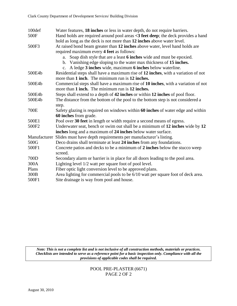| 100def | Water features, 18 inches or less in water depth, do not require barriers.             |
|--------|----------------------------------------------------------------------------------------|
| 500F   | Hand holds are required around pool areas <3 feet deep; the deck provides a hand       |
|        | hold as long as the deck is not more than 12 inches above water level.                 |
| 500F3  | At raised bond beam greater than 12 inches above water, level hand holds are           |
|        | required maximum every 4 feet as follows:                                              |
|        | Soap dish style that are a least 6 inches wide and must be epoxied.<br>a.              |
|        | b. Vanishing edge sloping to the water max thickness of 15 inches.                     |
|        | c. A ledge 3 inches wide, maximum 6 inches below waterline.                            |
| 500E4b | Residential steps shall have a maximum rise of 12 inches, with a variation of not      |
|        | more than 1 inch. The minimum run is 12 inches.                                        |
| 500E4b | Commercial steps shall have a maximum rise of 10 inches, with a variation of not       |
|        | more than 1 inch. The minimum run is 12 inches.                                        |
| 500E4b | Steps shall extend to a depth of 42 inches or within 12 inches of pool floor.          |
| 500E4b | The distance from the bottom of the pool to the bottom step is not considered a        |
|        | step.                                                                                  |
| 700E   | Safety glazing is required on windows within 60 inches of water edge and within        |
|        | 60 inches from grade.                                                                  |
| 500E1  | Pool over 30 feet in length or width require a second means of egress.                 |
| 500F2  | Underwater seat, bench or swim out shall be a minimum of 12 inches wide by 12          |
|        | inches long and a maximum of 24 inches below water surface.                            |
|        | Manufacturer Slides must have depth requirements per manufacturer's listing.           |
| 500G   | Deco drains shall terminate at least 24 inches from any foundations.                   |
| 500F1  | Concrete patios and decks to be a minimum of 2 inches below the stucco weep<br>screed. |
| 700D   | Secondary alarm or barrier is in place for all doors leading to the pool area.         |
| 300A   | Lighting level 1/2 watt per square foot of pool level.                                 |
| Plans  | Fiber optic light conversion level to be approved plans.                               |
| 300B   | Area lighting for commercial pools to be 6/10 watt per square foot of deck area.       |
| 500F1  | Site drainage is way from pool and house.                                              |

*Note: This is not a complete list and is not inclusive of all construction methods, materials or practices. Checklists are intended to serve as a reference point for a basic inspection only. Compliance with all the provisions of applicable codes shall be required.*

## POOL PRE-PLASTER (6671) PAGE 2 OF 2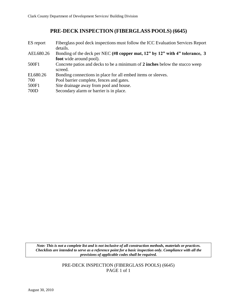# **PRE-DECK INSPECTION (FIBERGLASS POOLS) (6645)**

| ES report | Fiberglass pool deck inspections must follow the ICC Evaluation Services Report<br>details. |
|-----------|---------------------------------------------------------------------------------------------|
| AEL680.26 | Bonding of the deck per NEC (#8 copper mat, 12" by 12" with 4" tolerance, 3                 |
|           | <b>foot</b> wide around pool).                                                              |
| 500F1     | Concrete patios and decks to be a minimum of 2 inches below the stucco weep                 |
|           | screed.                                                                                     |
| EL680.26  | Bonding connections in place for all embed items or sleeves.                                |
| 700       | Pool barrier complete, fences and gates.                                                    |
| 500F1     | Site drainage away from pool and house.                                                     |
| 700D      | Secondary alarm or barrier is in place.                                                     |

*Note: This is not a complete list and is not inclusive of all construction methods, materials or practices. Checklists are intended to serve as a reference point for a basic inspection only. Compliance with all the provisions of applicable codes shall be required.*

> PRE-DECK INSPECTION (FIBERGLASS POOLS) (6645) PAGE 1 of 1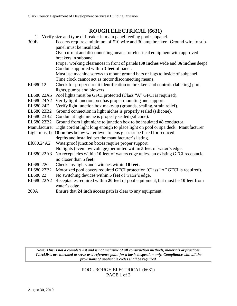# **ROUGH ELECTRICAL (6631)**

|            | 1. Verify size and type of breaker in main panel feeding pool subpanel.                       |
|------------|-----------------------------------------------------------------------------------------------|
| 300E       | Feeders require a minimum of #10 wire and 30 amp breaker. Ground wire to sub-                 |
|            | panel must be insulated.                                                                      |
|            | Overcurrent and disconnecting means for electrical equipment with approved                    |
|            | breakers in subpanel.                                                                         |
|            | Proper working clearances in front of panels (30 inches wide and 36 inches deep)              |
|            | Conduit supported within 3 feet of panel.                                                     |
|            | Must use machine screws to mount ground bars or lugs to inside of subpanel                    |
|            | Time clock cannot act as motor disconnecting means.                                           |
| EL680.12   | Check for proper circuit identification on breakers and controls (labeling) pool              |
|            | lights, pumps and blowers.                                                                    |
| EL680.22A5 | Pool lights must be GFCI protected (Class "A" GFCI is required).                              |
| EL680.24A2 | Verify light junction box has proper mounting and support.                                    |
| EL680.24E  | Verify light junction box make-up (grounds, sealing, strain relief).                          |
| EL680.23B2 | Ground connection in light niches is properly sealed (silicone).                              |
| EL680.23B2 | Conduit at light niche is properly sealed (silicone).                                         |
| EL680.23B2 | Ground from light niche to junction box to be insulated #8 conductor.                         |
|            | Manufacturer Light cord at light long enough to place light on pool or spa deck. Manufacturer |
|            | Light must be 18 inches below water level to lens glass or be listed for reduced              |
|            | depths and installed per the manufacturer's listing.                                          |
| E1680.24A2 | Waterproof junction boxes require proper support.                                             |
|            | No lights (even low voltage) permitted within 5 feet of water's edge.                         |
| EL680.22A3 | No receptacles within 10 feet of waters edge unless an existing GFCI receptacle               |
|            | no closer than 5 feet.                                                                        |
| EL680.22C  | Check any lights and switches within 10 feet.                                                 |
| EL680.27B2 | Motorized pool covers required GFCI protection (Class "A" GFCI is required).                  |
| EL680.22   | No switching devices within 5 feet of water's edge.                                           |
| EL680.22A2 | Receptacles required within 20 feet of pool equipment, but must be 10 feet from               |
|            | water's edge.                                                                                 |
| 200A       | Ensure that 24 inch access path is clear to any equipment.                                    |

*Note: This is not a complete list and is not inclusive of all construction methods, materials or practices. Checklists are intended to serve as a reference point for a basic inspection only. Compliance with all the provisions of applicable codes shall be required.*

> POOL ROUGH ELECTRICAL (6631) PAGE 1 of 2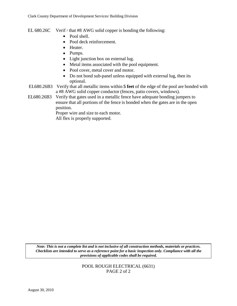- EL 680.26C Verif  $\prime$  that #8 AWG solid copper is bonding the following:
	- Pool shell.
	- Pool deck reinforcement.
	- Heater.
	- Pumps.
	- Light junction box on external lug.
	- Metal items associated with the pool equipment.
	- Pool cover, metal cover and motor.
	- Do not bond sub-panel unless equipped with external lug, then its optional.
- EL680.26B3 Verify that all metallic items within **5 feet** of the edge of the pool are bonded with a #8 AWG solid copper conductor (fences, patio covers, windows).
- EL680.26B3 Verify that gates used in a metallic fence have adequate bonding jumpers to ensure that all portions of the fence is bonded when the gates are in the open position.

Proper wire and size to each motor.

All flex is properly supported.

*Note: This is not a complete list and is not inclusive of all construction methods, materials or practices. Checklists are intended to serve as a reference point for a basic inspection only. Compliance with all the provisions of applicable codes shall be required.*

> POOL ROUGH ELECTRICAL (6631) PAGE 2 of 2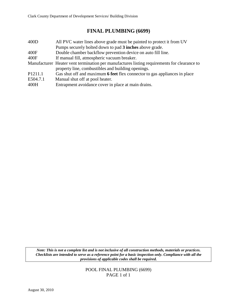# **FINAL PLUMBING (6699)**

| 400D                | All PVC water lines above grade must be painted to protect it from UV                       |
|---------------------|---------------------------------------------------------------------------------------------|
|                     | Pumps securely bolted down to pad 3 inches above grade.                                     |
| 400F                | Double chamber backflow prevention device on auto fill line.                                |
| 400F                | If manual fill, atmospheric vacuum breaker.                                                 |
|                     | Manufacturer Heater vent termination per manufactures listing requirements for clearance to |
|                     | property line, combustibles and building openings.                                          |
| P <sub>1211.1</sub> | Gas shut off and maximum 6 feet flex connector to gas appliances in place                   |
| E504.7.1            | Manual shut off at pool heater.                                                             |
| 400H                | Entrapment avoidance cover in place at main drains.                                         |

*Note: This is not a complete list and is not inclusive of all construction methods, materials or practices. Checklists are intended to serve as a reference point for a basic inspection only. Compliance with all the provisions of applicable codes shall be required.*

> POOL FINAL PLUMBING (6699) PAGE 1 of 1